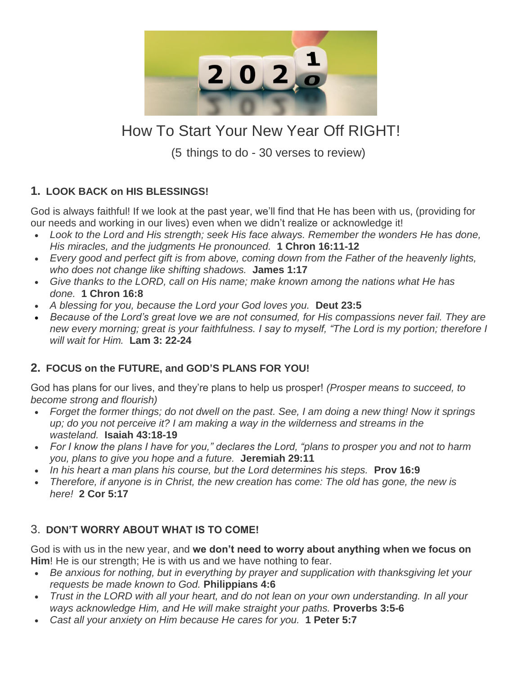

# How To Start Your New Year Off RIGHT!

(5 things to do - 30 verses to review)

### **1. LOOK BACK on HIS BLESSINGS!**

God is always faithful! If we look at the past year, we'll find that He has been with us, (providing for our needs and working in our lives) even when we didn't realize or acknowledge it!

- *Look to the Lord and His strength; seek His face always. Remember the wonders He has done, His miracles, and the judgments He pronounced.* **1 Chron 16:11-12**
- *Every good and perfect gift is from above, coming down from the Father of the heavenly lights, who does not change like shifting shadows.* **James 1:17**
- *Give thanks to the LORD, call on His name; make known among the nations what He has done.* **1 Chron 16:8**
- *A blessing for you, because the Lord your God loves you.* **Deut 23:5**
- *Because of the Lord's great love we are not consumed, for His compassions never fail. They are new every morning; great is your faithfulness. I say to myself, "The Lord is my portion; therefore I will wait for Him.* **Lam 3: 22-24**

## **2. FOCUS on the FUTURE, and GOD'S PLANS FOR YOU!**

God has plans for our lives, and they're plans to help us prosper! *(Prosper means to succeed, to become strong and flourish)*

- *Forget the former things; do not dwell on the past. See, I am doing a new thing! Now it springs up; do you not perceive it? I am making a way in the wilderness and streams in the wasteland.* **Isaiah 43:18-19**
- *For I know the plans I have for you," declares the Lord, "plans to prosper you and not to harm you, plans to give you hope and a future.* **Jeremiah 29:11**
- *In his heart a man plans his course, but the Lord determines his steps.* **Prov 16:9**
- *Therefore, if anyone is in Christ, the new creation has come: The old has gone, the new is here!* **2 Cor 5:17**

#### 3. **DON'T WORRY ABOUT WHAT IS TO COME!**

God is with us in the new year, and **we don't need to worry about anything when we focus on Him**! He is our strength; He is with us and we have nothing to fear.

- *Be anxious for nothing, but in everything by prayer and supplication with thanksgiving let your requests be made known to God.* **Philippians 4:6**
- *Trust in the LORD with all your heart, and do not lean on your own understanding. In all your ways acknowledge Him, and He will make straight your paths.* **Proverbs 3:5-6**
- *Cast all your anxiety on Him because He cares for you.* **1 Peter 5:7**